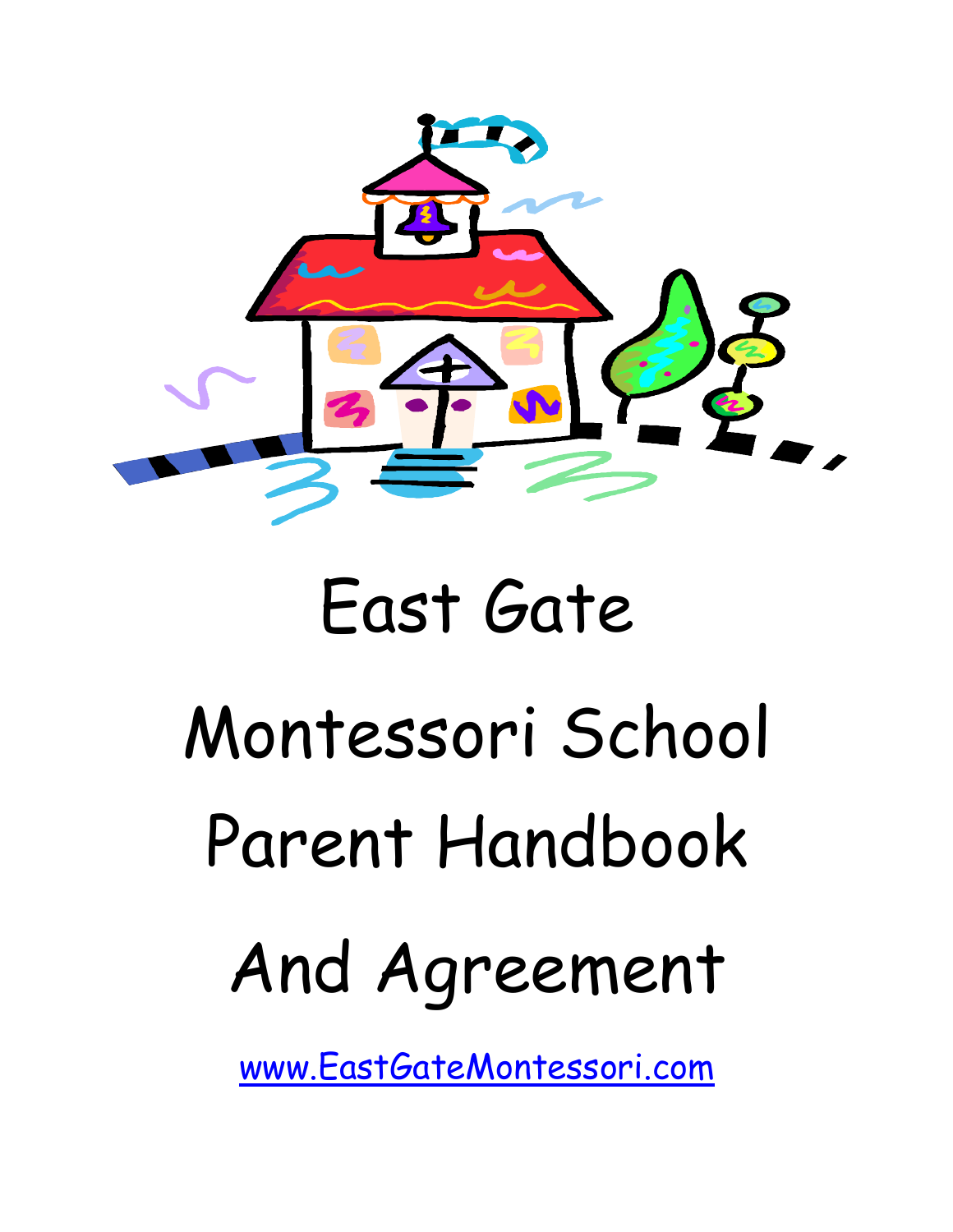

# East Gate Montessori School Parent Handbook And Agreement

www.EastGateMontessori.com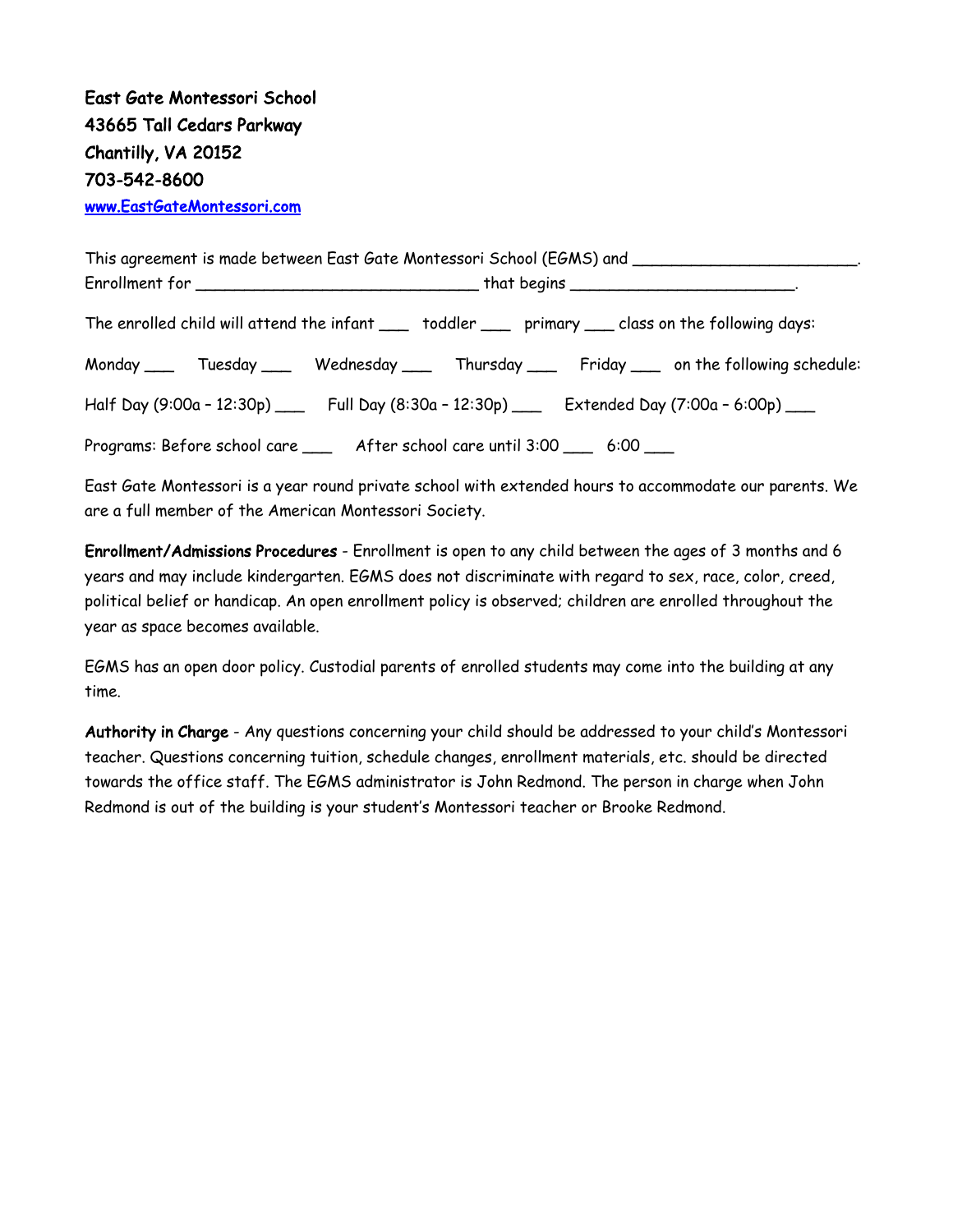| This agreement is made between East Gate Montessori School (EGMS) and ______________________________ |                                                                                         |
|------------------------------------------------------------------------------------------------------|-----------------------------------------------------------------------------------------|
|                                                                                                      |                                                                                         |
| The enrolled child will attend the infant ___ toddler ___ primary __ class on the following days:    |                                                                                         |
|                                                                                                      | Monday ___ Tuesday ___ Wednesday ___ Thursday ___ Friday ___ on the following schedule: |
| Half Day (9:00a - 12:30p) ___ Full Day (8:30a - 12:30p) ___ Extended Day (7:00a - 6:00p) ___         |                                                                                         |
| Programs: Before school care ______ After school care until 3:00 _____ 6:00 ____                     |                                                                                         |

East Gate Montessori is a year round private school with extended hours to accommodate our parents. We are a full member of the American Montessori Society.

Enrollment/Admissions Procedures - Enrollment is open to any child between the ages of 3 months and 6 years and may include kindergarten. EGMS does not discriminate with regard to sex, race, color, creed, political belief or handicap. An open enrollment policy is observed; children are enrolled throughout the year as space becomes available.

EGMS has an open door policy. Custodial parents of enrolled students may come into the building at any time.

Authority in Charge - Any questions concerning your child should be addressed to your child's Montessori teacher. Questions concerning tuition, schedule changes, enrollment materials, etc. should be directed towards the office staff. The EGMS administrator is John Redmond. The person in charge when John Redmond is out of the building is your student's Montessori teacher or Brooke Redmond.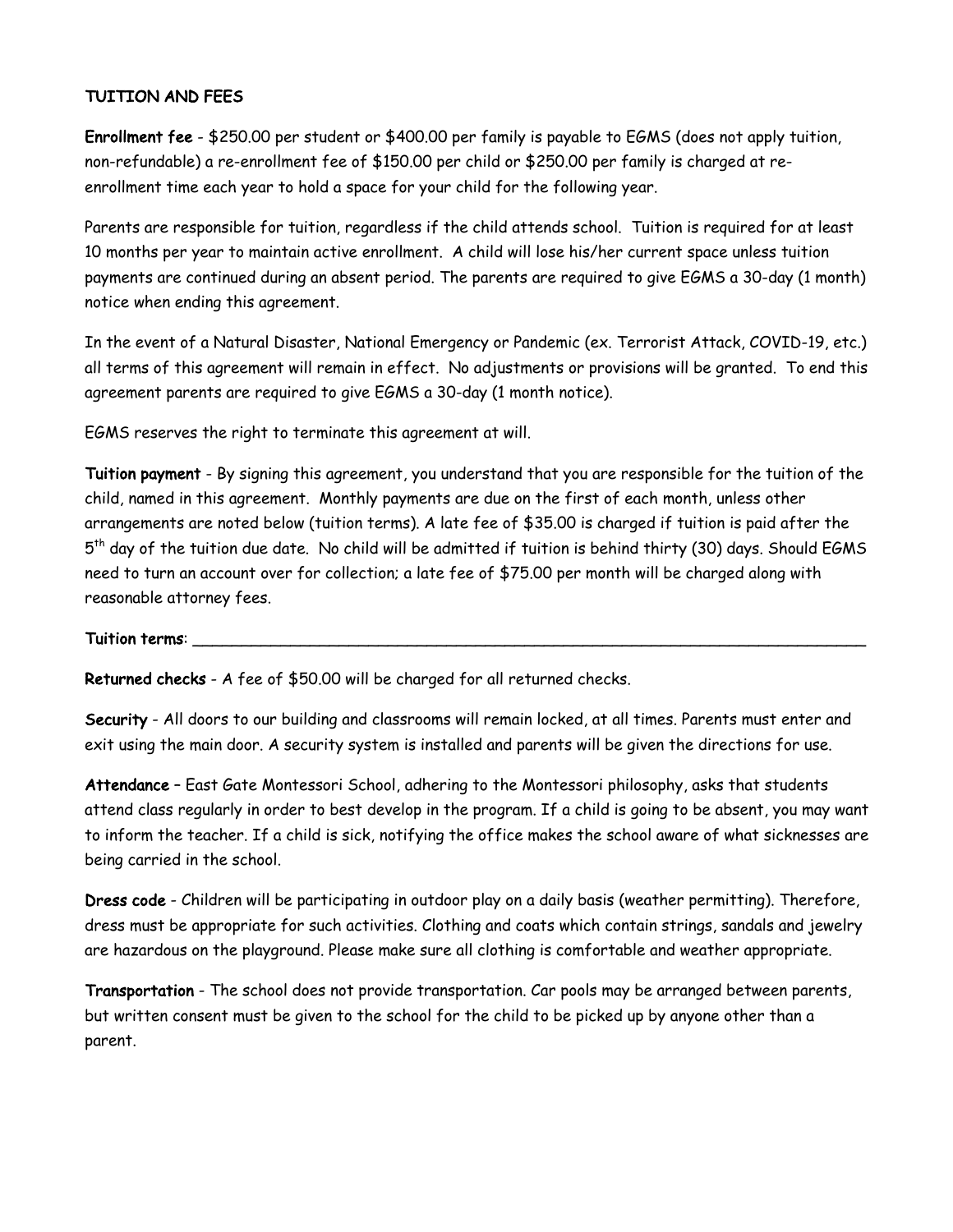# TUITION AND FEES

Enrollment fee - \$250.00 per student or \$400.00 per family is payable to EGMS (does not apply tuition, non-refundable) a re-enrollment fee of \$150.00 per child or \$250.00 per family is charged at reenrollment time each year to hold a space for your child for the following year.

Parents are responsible for tuition, regardless if the child attends school. Tuition is required for at least 10 months per year to maintain active enrollment. A child will lose his/her current space unless tuition payments are continued during an absent period. The parents are required to give EGMS a 30-day (1 month) notice when ending this agreement.

In the event of a Natural Disaster, National Emergency or Pandemic (ex. Terrorist Attack, COVID-19, etc.) all terms of this agreement will remain in effect. No adjustments or provisions will be granted. To end this agreement parents are required to give EGMS a 30-day (1 month notice).

EGMS reserves the right to terminate this agreement at will.

Tuition payment - By signing this agreement, you understand that you are responsible for the tuition of the child, named in this agreement. Monthly payments are due on the first of each month, unless other arrangements are noted below (tuition terms). A late fee of \$35.00 is charged if tuition is paid after the 5th day of the tuition due date. No child will be admitted if tuition is behind thirty (30) days. Should EGMS need to turn an account over for collection; a late fee of \$75.00 per month will be charged along with reasonable attorney fees.

### Tuition terms:

Returned checks - A fee of \$50.00 will be charged for all returned checks.

Security - All doors to our building and classrooms will remain locked, at all times. Parents must enter and exit using the main door. A security system is installed and parents will be given the directions for use.

Attendance – East Gate Montessori School, adhering to the Montessori philosophy, asks that students attend class regularly in order to best develop in the program. If a child is going to be absent, you may want to inform the teacher. If a child is sick, notifying the office makes the school aware of what sicknesses are being carried in the school.

Dress code - Children will be participating in outdoor play on a daily basis (weather permitting). Therefore, dress must be appropriate for such activities. Clothing and coats which contain strings, sandals and jewelry are hazardous on the playground. Please make sure all clothing is comfortable and weather appropriate.

Transportation - The school does not provide transportation. Car pools may be arranged between parents, but written consent must be given to the school for the child to be picked up by anyone other than a parent.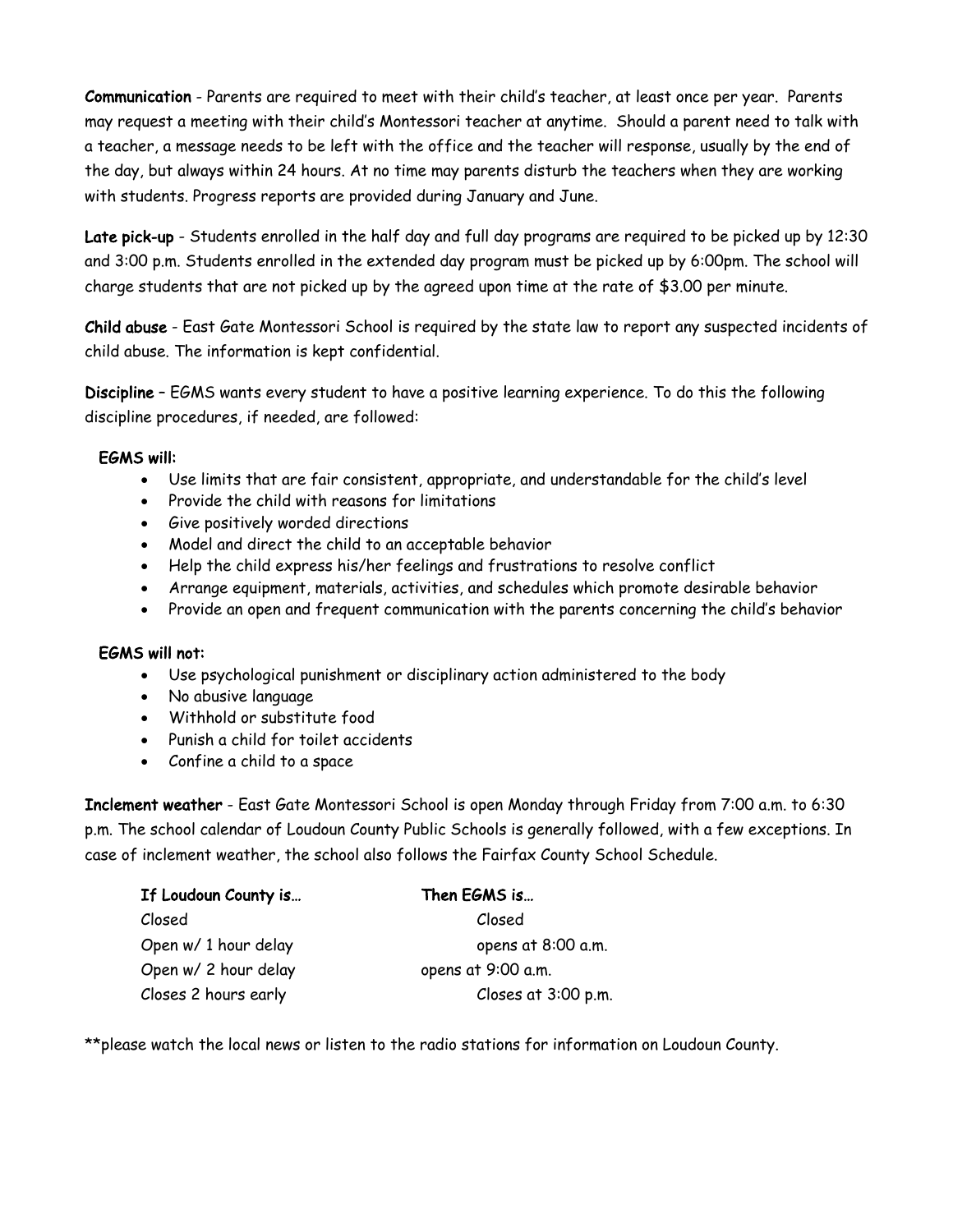Communication - Parents are required to meet with their child's teacher, at least once per year. Parents may request a meeting with their child's Montessori teacher at anytime. Should a parent need to talk with a teacher, a message needs to be left with the office and the teacher will response, usually by the end of the day, but always within 24 hours. At no time may parents disturb the teachers when they are working with students. Progress reports are provided during January and June.

Late pick-up - Students enrolled in the half day and full day programs are required to be picked up by 12:30 and 3:00 p.m. Students enrolled in the extended day program must be picked up by 6:00pm. The school will charge students that are not picked up by the agreed upon time at the rate of \$3.00 per minute.

Child abuse - East Gate Montessori School is required by the state law to report any suspected incidents of child abuse. The information is kept confidential.

Discipline – EGMS wants every student to have a positive learning experience. To do this the following discipline procedures, if needed, are followed:

## EGMS will:

- Use limits that are fair consistent, appropriate, and understandable for the child's level
- Provide the child with reasons for limitations
- Give positively worded directions
- Model and direct the child to an acceptable behavior
- Help the child express his/her feelings and frustrations to resolve conflict
- Arrange equipment, materials, activities, and schedules which promote desirable behavior
- Provide an open and frequent communication with the parents concerning the child's behavior

### EGMS will not:

- Use psychological punishment or disciplinary action administered to the body
- No abusive language
- Withhold or substitute food
- Punish a child for toilet accidents
- Confine a child to a space

Inclement weather - East Gate Montessori School is open Monday through Friday from 7:00 a.m. to 6:30 p.m. The school calendar of Loudoun County Public Schools is generally followed, with a few exceptions. In case of inclement weather, the school also follows the Fairfax County School Schedule.

| If Loudoun County is | Then EGMS is        |
|----------------------|---------------------|
| Closed               | Closed              |
| Open w/ 1 hour delay | opens at 8:00 a.m.  |
| Open w/ 2 hour delay | opens at 9:00 a.m.  |
| Closes 2 hours early | Closes at 3:00 p.m. |

\*\*please watch the local news or listen to the radio stations for information on Loudoun County.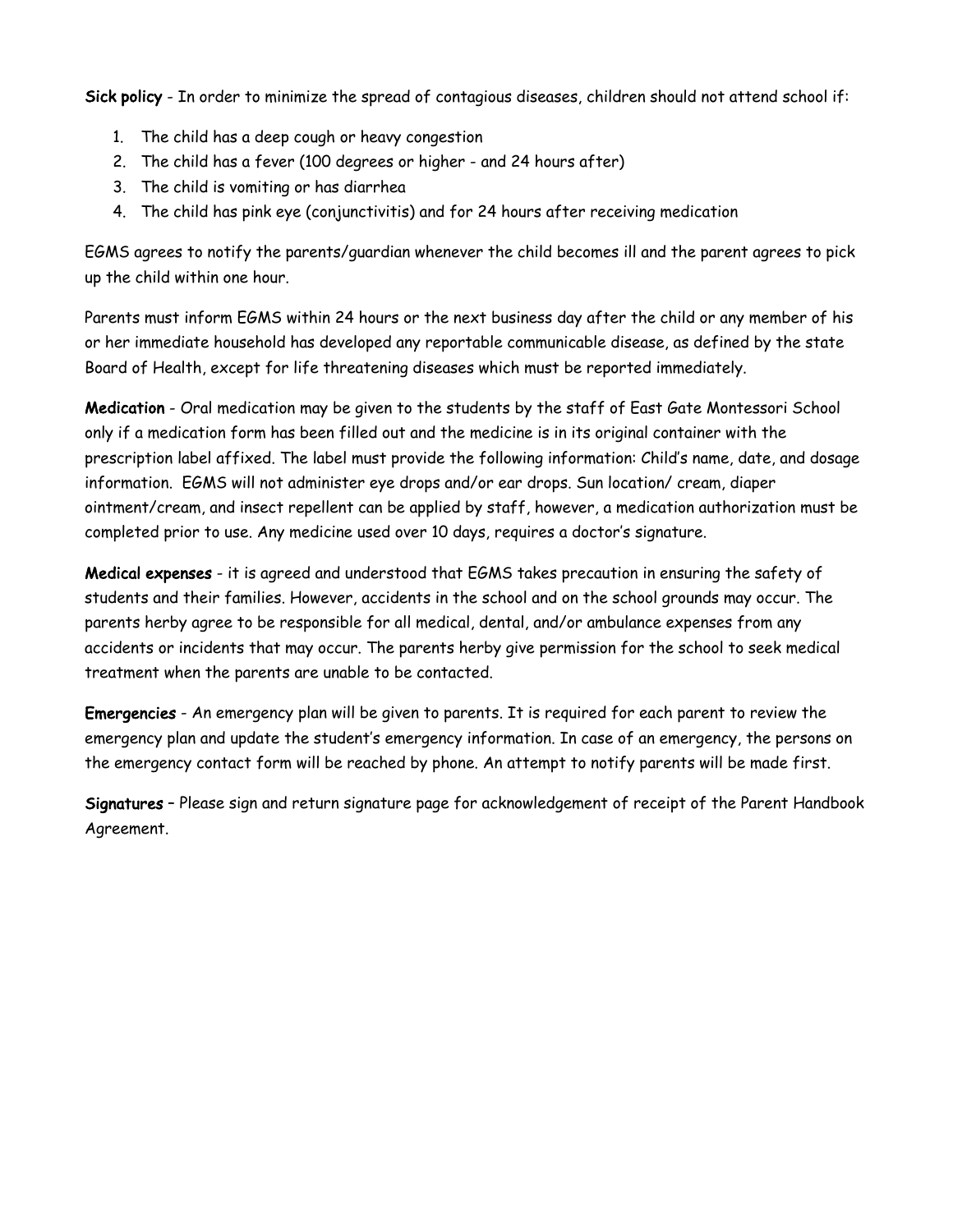Sick policy - In order to minimize the spread of contagious diseases, children should not attend school if:

- 1. The child has a deep cough or heavy congestion
- 2. The child has a fever (100 degrees or higher and 24 hours after)
- 3. The child is vomiting or has diarrhea
- 4. The child has pink eye (conjunctivitis) and for 24 hours after receiving medication

EGMS agrees to notify the parents/guardian whenever the child becomes ill and the parent agrees to pick up the child within one hour.

Parents must inform EGMS within 24 hours or the next business day after the child or any member of his or her immediate household has developed any reportable communicable disease, as defined by the state Board of Health, except for life threatening diseases which must be reported immediately.

Medication - Oral medication may be given to the students by the staff of East Gate Montessori School only if a medication form has been filled out and the medicine is in its original container with the prescription label affixed. The label must provide the following information: Child's name, date, and dosage information. EGMS will not administer eye drops and/or ear drops. Sun location/ cream, diaper ointment/cream, and insect repellent can be applied by staff, however, a medication authorization must be completed prior to use. Any medicine used over 10 days, requires a doctor's signature.

Medical expenses - it is agreed and understood that EGMS takes precaution in ensuring the safety of students and their families. However, accidents in the school and on the school grounds may occur. The parents herby agree to be responsible for all medical, dental, and/or ambulance expenses from any accidents or incidents that may occur. The parents herby give permission for the school to seek medical treatment when the parents are unable to be contacted.

Emergencies - An emergency plan will be given to parents. It is required for each parent to review the emergency plan and update the student's emergency information. In case of an emergency, the persons on the emergency contact form will be reached by phone. An attempt to notify parents will be made first.

Signatures – Please sign and return signature page for acknowledgement of receipt of the Parent Handbook Agreement.